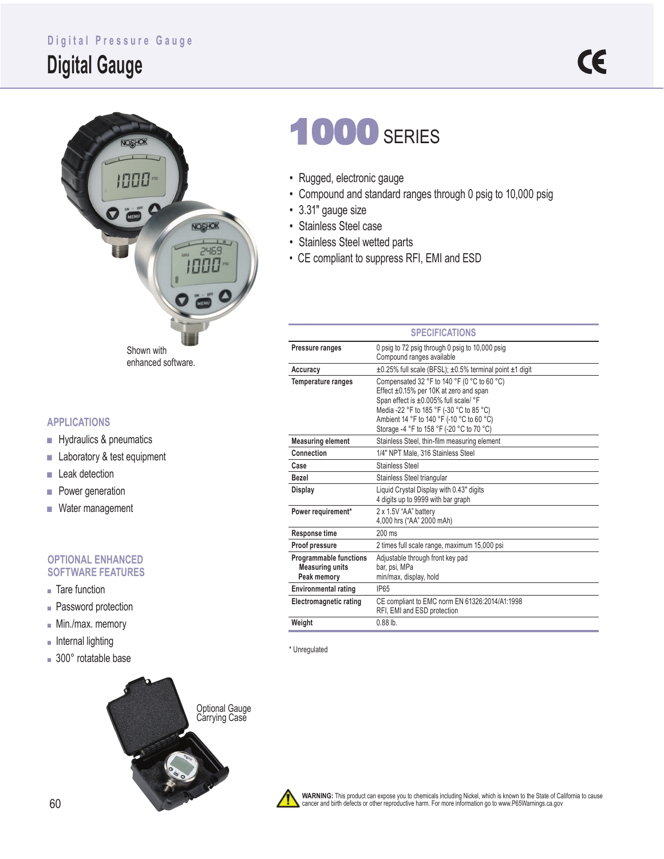### **Digital Pressure Gauge**

## **Digital Gauge**



#### **APPLICATIONS**

- Hydraulics & pneumatics
- Laboratory & test equipment
- Leak detection
- Power generation
- Water management

#### **OPTIONAL ENHANCED SOFTWARE FEATURES**

- Tare function
- Password protection
- Min./max. memory
- Internal lighting
- 300° rotatable base



# **1000 SERIES**

- Rugged, electronic gauge
- Compound and standard ranges through 0 psig to 10,000 psig
- 3.31" gauge size
- Stainless Steel case
- Stainless Steel wetted parts
- CE compliant to suppress RFI, EMI and ESD

| <b>SPECIFICATIONS</b>                                                  |                                                                                                                                                                                                                                                                      |  |  |  |  |  |
|------------------------------------------------------------------------|----------------------------------------------------------------------------------------------------------------------------------------------------------------------------------------------------------------------------------------------------------------------|--|--|--|--|--|
| Pressure ranges                                                        | 0 psig to 72 psig through 0 psig to 10,000 psig<br>Compound ranges available                                                                                                                                                                                         |  |  |  |  |  |
| Accuracy                                                               | ±0.25% full scale (BFSL); ±0.5% terminal point ±1 digit                                                                                                                                                                                                              |  |  |  |  |  |
| <b>Temperature ranges</b>                                              | Compensated 32 °F to 140 °F (0 °C to 60 °C)<br>Effect ±0.15% per 10K at zero and span<br>Span effect is ±0.005% full scale/ °F<br>Media -22 °F to 185 °F (-30 °C to 85 °C)<br>Ambient 14 °F to 140 °F (-10 °C to 60 °C)<br>Storage -4 °F to 158 °F (-20 °C to 70 °C) |  |  |  |  |  |
| <b>Measuring element</b>                                               | Stainless Steel, thin-film measuring element                                                                                                                                                                                                                         |  |  |  |  |  |
| Connection                                                             | 1/4" NPT Male, 316 Stainless Steel                                                                                                                                                                                                                                   |  |  |  |  |  |
| Case                                                                   | <b>Stainless Steel</b>                                                                                                                                                                                                                                               |  |  |  |  |  |
| <b>Bezel</b>                                                           | Stainless Steel triangular                                                                                                                                                                                                                                           |  |  |  |  |  |
| <b>Display</b>                                                         | Liquid Crystal Display with 0.43" digits<br>4 digits up to 9999 with bar graph                                                                                                                                                                                       |  |  |  |  |  |
| Power requirement*                                                     | 2 x 1.5V "AA" battery<br>4,000 hrs ("AA" 2000 mAh)                                                                                                                                                                                                                   |  |  |  |  |  |
| <b>Response time</b>                                                   | $200 \text{ ms}$                                                                                                                                                                                                                                                     |  |  |  |  |  |
| Proof pressure                                                         | 2 times full scale range, maximum 15,000 psi                                                                                                                                                                                                                         |  |  |  |  |  |
| <b>Programmable functions</b><br><b>Measuring units</b><br>Peak memory | Adjustable through front key pad<br>bar, psi, MPa<br>min/max, display, hold                                                                                                                                                                                          |  |  |  |  |  |
| <b>Environmental rating</b>                                            | <b>IP65</b>                                                                                                                                                                                                                                                          |  |  |  |  |  |
| Electromagnetic rating                                                 | CE compliant to EMC norm EN 61326:2014/A1:1998<br>RFI, EMI and ESD protection                                                                                                                                                                                        |  |  |  |  |  |
| Weight                                                                 | $0.88$ lb.                                                                                                                                                                                                                                                           |  |  |  |  |  |

\* Unregulated



**WARNING:** This product can expose you to chemicals including Nickel, which is known to the State of California to cause<br>cancer and birth defects or other reproductive harm. For more information go to www.P65Warnings.ca.go